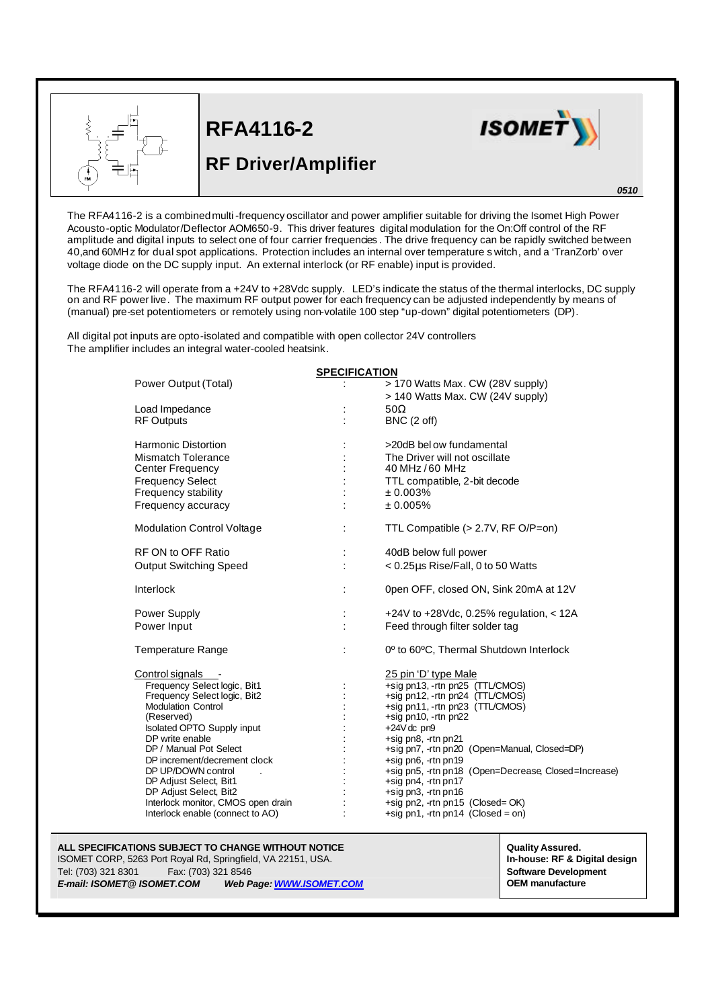

l





### **RF Driver/Amplifier**

*0510*

The RFA4116-2 is a combined multi-frequency oscillator and power amplifier suitable for driving the Isomet High Power Acousto-optic Modulator/Deflector AOM650-9. This driver features digital modulation for the On:Off control of the RF amplitude and digital inputs to select one of four carrier frequencies . The drive frequency can be rapidly switched between 40,and 60MHz for dual spot applications. Protection includes an internal over temperature s witch, and a 'TranZorb' over voltage diode on the DC supply input. An external interlock (or RF enable) input is provided.

The RFA4116-2 will operate from a +24V to +28Vdc supply. LED's indicate the status of the thermal interlocks, DC supply on and RF power live. The maximum RF output power for each frequency can be adjusted independently by means of (manual) pre-set potentiometers or remotely using non-volatile 100 step "up-down" digital potentiometers (DP).

All digital pot inputs are opto-isolated and compatible with open collector 24V controllers The amplifier includes an integral water-cooled heatsink.

| <b>SPECIFICATION</b>                    |   |                                                               |  |
|-----------------------------------------|---|---------------------------------------------------------------|--|
| Power Output (Total)                    |   | > 170 Watts Max. CW (28V supply)                              |  |
|                                         |   | > 140 Watts Max. CW (24V supply)                              |  |
| Load Impedance                          |   | $50\Omega$                                                    |  |
| <b>RF Outputs</b>                       |   | <b>BNC</b> (2 off)                                            |  |
|                                         |   |                                                               |  |
| <b>Harmonic Distortion</b>              |   | >20dB below fundamental                                       |  |
| Mismatch Tolerance                      |   | The Driver will not oscillate                                 |  |
| Center Frequency                        |   | 40 MHz / 60 MHz                                               |  |
| <b>Frequency Select</b>                 |   | TTL compatible, 2-bit decode                                  |  |
| Frequency stability                     |   | $± 0.003\%$                                                   |  |
| Frequency accuracy                      |   | ± 0.005%                                                      |  |
| <b>Modulation Control Voltage</b>       |   | TTL Compatible (> 2.7V, RF O/P=on)                            |  |
|                                         |   |                                                               |  |
| RF ON to OFF Ratio                      |   | 40dB below full power                                         |  |
| <b>Output Switching Speed</b>           |   | < 0.25µs Rise/Fall, 0 to 50 Watts                             |  |
| Interlock                               |   | 0pen OFF, closed ON, Sink 20mA at 12V                         |  |
| Power Supply                            |   | +24V to +28Vdc, 0.25% regulation, $<$ 12A                     |  |
| Power Input                             |   | Feed through filter solder tag                                |  |
| Temperature Range                       | ÷ | 0° to 60°C, Thermal Shutdown Interlock                        |  |
|                                         |   |                                                               |  |
| Control signals                         |   | 25 pin 'D' type Male                                          |  |
| Frequency Select logic, Bit1            |   | +sig pn13, -rtn pn25 (TTL/CMOS)                               |  |
| Frequency Select logic, Bit2            |   | +sig pn12, -rtn pn24 (TTL/CMOS)                               |  |
| <b>Modulation Control</b><br>(Reserved) |   | +sig pn11, -rtn pn23 (TTL/CMOS)<br>$+$ sig pn10, $-$ rtn pn22 |  |
| <b>Isolated OPTO Supply input</b>       |   | $+24V$ dc pn9                                                 |  |
| DP write enable                         |   | +sig pn8, -rtn pn21                                           |  |
| DP / Manual Pot Select                  |   | +sig pn7, -rtn pn20 (Open=Manual, Closed=DP)                  |  |
| DP increment/decrement clock            |   | +sig pn6, -rtn pn19                                           |  |
| DP UP/DOWN control<br>$\sim 10$         |   | +sig pn5, -rtn pn18 (Open=Decrease, Closed=Increase)          |  |
| DP Adjust Select, Bit1                  |   | +sig pn4, -rtn pn17                                           |  |
| DP Adjust Select, Bit2                  |   | $+$ sig pn3, -rtn pn16                                        |  |
| Interlock monitor, CMOS open drain      |   | +sig pn2, -rtn pn15 (Closed= OK)                              |  |
| Interlock enable (connect to AO)        |   | +sig pn1, -rtn pn14 (Closed = on)                             |  |

#### **ALL SPECIFICATIONS SUBJECT TO CHANGE WITHOUT NOTICE All and the state of the state of the state of the state of the state of the state of the state of the state of the state of the state of the state of the state of the**

ISOMET CORP, 5263 Port Royal Rd, Springfield, VA 22151, USA. **In-house: RF & Digital design** Tel: (703) 321 8301 Fax: (703) 321 8546 **Software Development Software Development** *E-mail: ISOMET@ ISOMET.COM Web Page: WWW.ISOMET.COM* **OEM manufacture**